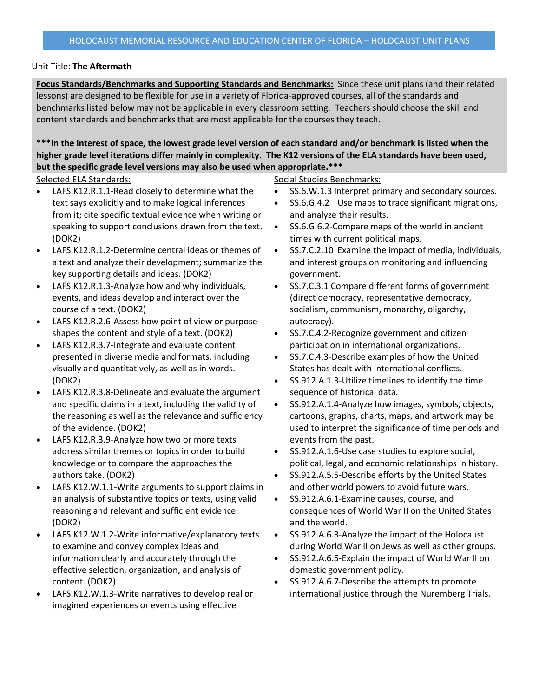## Unit Title: **The Aftermath**

**Focus Standards/Benchmarks and Supporting Standards and Benchmarks:** Since these unit plans (and their related lessons) are designed to be flexible for use in a variety of Florida-approved courses, all of the standards and benchmarks listed below may not be applicable in every classroom setting. Teachers should choose the skill and content standards and benchmarks that are most applicable for the courses they teach.

**\*\*\*In the interest of space, the lowest grade level version of each standard and/or benchmark is listed when the higher grade level iterations differ mainly in complexity. The K12 versions of the ELA standards have been used, but the specific grade level versions may also be used when appropriate.\*\*\***

| wat the specific grade lever versions may also be used when appropriate. |                                                          |           |                                                          |  |
|--------------------------------------------------------------------------|----------------------------------------------------------|-----------|----------------------------------------------------------|--|
| Selected ELA Standards:                                                  |                                                          |           | <b>Social Studies Benchmarks:</b>                        |  |
|                                                                          | LAFS.K12.R.1.1-Read closely to determine what the        | $\bullet$ | SS.6.W.1.3 Interpret primary and secondary sources.      |  |
|                                                                          | text says explicitly and to make logical inferences      | $\bullet$ | SS.6.G.4.2 Use maps to trace significant migrations,     |  |
|                                                                          | from it; cite specific textual evidence when writing or  |           | and analyze their results.                               |  |
|                                                                          | speaking to support conclusions drawn from the text.     | $\bullet$ | SS.6.G.6.2-Compare maps of the world in ancient          |  |
|                                                                          | (DOK2)                                                   |           | times with current political maps.                       |  |
| $\bullet$                                                                | LAFS.K12.R.1.2-Determine central ideas or themes of      | $\bullet$ | SS.7.C.2.10 Examine the impact of media, individuals,    |  |
|                                                                          | a text and analyze their development; summarize the      |           | and interest groups on monitoring and influencing        |  |
|                                                                          | key supporting details and ideas. (DOK2)                 |           | government.                                              |  |
| $\bullet$                                                                | LAFS.K12.R.1.3-Analyze how and why individuals,          | $\bullet$ | SS.7.C.3.1 Compare different forms of government         |  |
|                                                                          | events, and ideas develop and interact over the          |           | (direct democracy, representative democracy,             |  |
|                                                                          | course of a text. (DOK2)                                 |           | socialism, communism, monarchy, oligarchy,               |  |
| $\bullet$                                                                | LAFS.K12.R.2.6-Assess how point of view or purpose       |           | autocracy).                                              |  |
|                                                                          | shapes the content and style of a text. (DOK2)           | $\bullet$ | SS.7.C.4.2-Recognize government and citizen              |  |
| $\bullet$                                                                | LAFS.K12.R.3.7-Integrate and evaluate content            |           | participation in international organizations.            |  |
|                                                                          | presented in diverse media and formats, including        | $\bullet$ | SS.7.C.4.3-Describe examples of how the United           |  |
|                                                                          | visually and quantitatively, as well as in words.        |           | States has dealt with international conflicts.           |  |
|                                                                          | (DOK2)                                                   | $\bullet$ | SS.912.A.1.3-Utilize timelines to identify the time      |  |
| $\bullet$                                                                | LAFS.K12.R.3.8-Delineate and evaluate the argument       |           | sequence of historical data.                             |  |
|                                                                          | and specific claims in a text, including the validity of | $\bullet$ | SS.912.A.1.4-Analyze how images, symbols, objects,       |  |
|                                                                          | the reasoning as well as the relevance and sufficiency   |           | cartoons, graphs, charts, maps, and artwork may be       |  |
|                                                                          | of the evidence. (DOK2)                                  |           | used to interpret the significance of time periods and   |  |
| $\bullet$                                                                | LAFS.K12.R.3.9-Analyze how two or more texts             |           | events from the past.                                    |  |
|                                                                          | address similar themes or topics in order to build       | $\bullet$ | SS.912.A.1.6-Use case studies to explore social,         |  |
|                                                                          | knowledge or to compare the approaches the               |           | political, legal, and economic relationships in history. |  |
|                                                                          | authors take. (DOK2)                                     | $\bullet$ | SS.912.A.5.5-Describe efforts by the United States       |  |
| $\bullet$                                                                | LAFS.K12.W.1.1-Write arguments to support claims in      |           | and other world powers to avoid future wars.             |  |
|                                                                          | an analysis of substantive topics or texts, using valid  | $\bullet$ | SS.912.A.6.1-Examine causes, course, and                 |  |
|                                                                          | reasoning and relevant and sufficient evidence.          |           | consequences of World War II on the United States        |  |
|                                                                          | (DOK2)                                                   |           | and the world.                                           |  |
| $\bullet$                                                                | LAFS.K12.W.1.2-Write informative/explanatory texts       | $\bullet$ | SS.912.A.6.3-Analyze the impact of the Holocaust         |  |
|                                                                          | to examine and convey complex ideas and                  |           | during World War II on Jews as well as other groups.     |  |
|                                                                          | information clearly and accurately through the           | $\bullet$ | SS.912.A.6.5-Explain the impact of World War II on       |  |
|                                                                          | effective selection, organization, and analysis of       |           | domestic government policy.                              |  |
|                                                                          | content. (DOK2)                                          | $\bullet$ | SS.912.A.6.7-Describe the attempts to promote            |  |
|                                                                          | LAFS.K12.W.1.3-Write narratives to develop real or       |           | international justice through the Nuremberg Trials.      |  |
|                                                                          | imagined experiences or events using effective           |           |                                                          |  |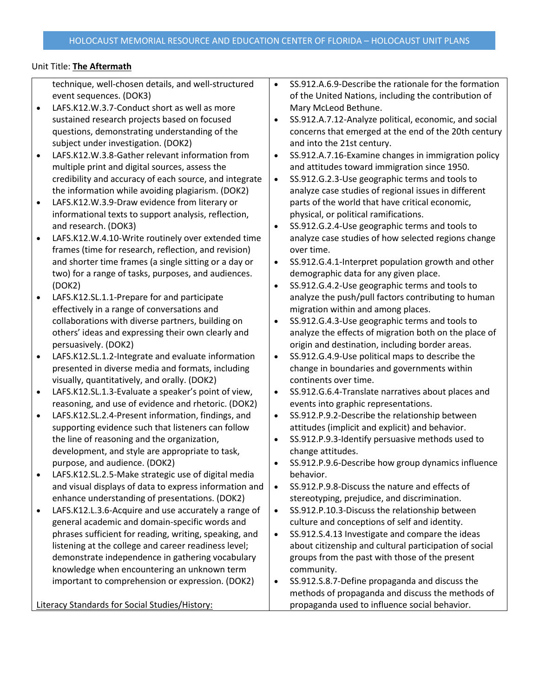## Unit Title: **The Aftermath**

technique, well-chosen details, and well-structured event sequences. (DOK3)

- LAFS.K12.W.3.7-Conduct short as well as more sustained research projects based on focused questions, demonstrating understanding of the subject under investigation. (DOK2)
- LAFS.K12.W.3.8-Gather relevant information from multiple print and digital sources, assess the credibility and accuracy of each source, and integrate the information while avoiding plagiarism. (DOK2)
- LAFS.K12.W.3.9-Draw evidence from literary or informational texts to support analysis, reflection, and research. (DOK3)
- LAFS.K12.W.4.10-Write routinely over extended time frames (time for research, reflection, and revision) and shorter time frames (a single sitting or a day or two) for a range of tasks, purposes, and audiences. (DOK2)
- LAFS.K12.SL.1.1-Prepare for and participate effectively in a range of conversations and collaborations with diverse partners, building on others' ideas and expressing their own clearly and persuasively. (DOK2)
- LAFS.K12.SL.1.2-Integrate and evaluate information presented in diverse media and formats, including visually, quantitatively, and orally. (DOK2)
- LAFS.K12.SL.1.3-Evaluate a speaker's point of view, reasoning, and use of evidence and rhetoric. (DOK2)
- LAFS.K12.SL.2.4-Present information, findings, and supporting evidence such that listeners can follow the line of reasoning and the organization, development, and style are appropriate to task, purpose, and audience. (DOK2)
- LAFS.K12.SL.2.5-Make strategic use of digital media and visual displays of data to express information and enhance understanding of presentations. (DOK2)
- LAFS.K12.L.3.6-Acquire and use accurately a range of general academic and domain-specific words and phrases sufficient for reading, writing, speaking, and listening at the college and career readiness level; demonstrate independence in gathering vocabulary knowledge when encountering an unknown term important to comprehension or expression. (DOK2)

Literacy Standards for Social Studies/History:

- SS.912.A.6.9-Describe the rationale for the formation of the United Nations, including the contribution of Mary McLeod Bethune.
- SS.912.A.7.12-Analyze political, economic, and social concerns that emerged at the end of the 20th century and into the 21st century.
- SS.912.A.7.16-Examine changes in immigration policy and attitudes toward immigration since 1950.

• SS.912.G.2.3-Use geographic terms and tools to analyze case studies of regional issues in different parts of the world that have critical economic, physical, or political ramifications.

- SS.912.G.2.4-Use geographic terms and tools to analyze case studies of how selected regions change over time.
- SS.912.G.4.1-Interpret population growth and other demographic data for any given place.
- SS.912.G.4.2-Use geographic terms and tools to analyze the push/pull factors contributing to human migration within and among places.
- SS.912.G.4.3-Use geographic terms and tools to analyze the effects of migration both on the place of origin and destination, including border areas.
- SS.912.G.4.9-Use political maps to describe the change in boundaries and governments within continents over time.
- SS.912.G.6.4-Translate narratives about places and events into graphic representations.
- SS.912.P.9.2-Describe the relationship between attitudes (implicit and explicit) and behavior.
- SS.912.P.9.3-Identify persuasive methods used to change attitudes.
- SS.912.P.9.6-Describe how group dynamics influence behavior.
- SS.912.P.9.8-Discuss the nature and effects of stereotyping, prejudice, and discrimination.
- SS.912.P.10.3-Discuss the relationship between culture and conceptions of self and identity.
- SS.912.S.4.13 Investigate and compare the ideas about citizenship and cultural participation of social groups from the past with those of the present community.
- SS.912.S.8.7-Define propaganda and discuss the methods of propaganda and discuss the methods of propaganda used to influence social behavior.